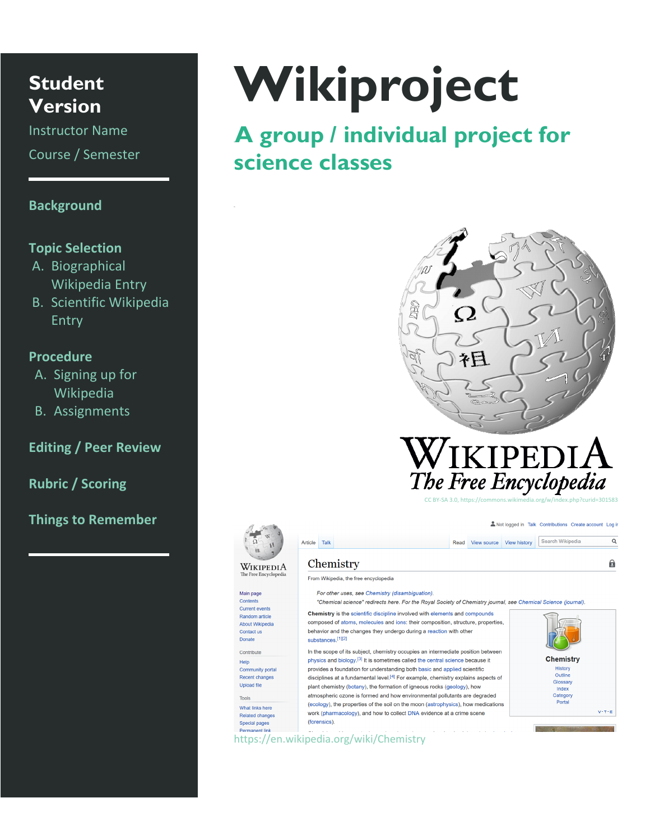**Student Version**

Instructor Name Course / Semester

# **Background**

## **Topic Selection**

- A. Biographical Wikipedia Entry
- B. Scientific Wikipedia Entry

# **Procedure**

- A. Signing up for Wikipedia
- B. Assignments

# **Editing / Peer Review**

**Rubric / Scoring**

**Things to Remember**

# **Wikiproject**

0B**A group / individual project for science classes**





Article Talk

Chemistry

Main page

Contents

Contact us Donate

Contribute

Help

Tools

Current events

Random article

About Wikipedia

Recent changes

What links here

Related changes

Special pages

**Upload file** 

From Wikipedia, the free encyclopedia

For other uses, see Chemistry (disambiguation).

"Chemical science" redirects here. For the Royal Society of Chemistry journal, see Chemical Science (journal).

Chemistry is the scientific discipline involved with elements and compounds composed of atoms, molecules and ions: their composition, structure, properties, behavior and the changes they undergo during a reaction with other substances.[1][2] In the scope of its subject, chemistry occupies an intermediate position between physics and biology.<sup>[3]</sup> It is sometimes called the central science because it Community porta provides a foundation for understanding both basic and applied scientific disciplines at a fundamental level.<sup>[4]</sup> For example, chemistry explains aspects of plant chemistry (botany), the formation of igneous rocks (geology), how atmospheric ozone is formed and how environmental pollutants are degraded

(ecology), the properties of the soil on the moon (astrophysics), how medications work (pharmacology), and how to collect DNA evidence at a crime scene (forensics).



Not logged in Talk Contributions Create account Log in

 $\overline{\mathbf{Q}}$ 

自

Read View source View history Search Wikipedia

https://en.wikipedia.org/wiki/Chemistry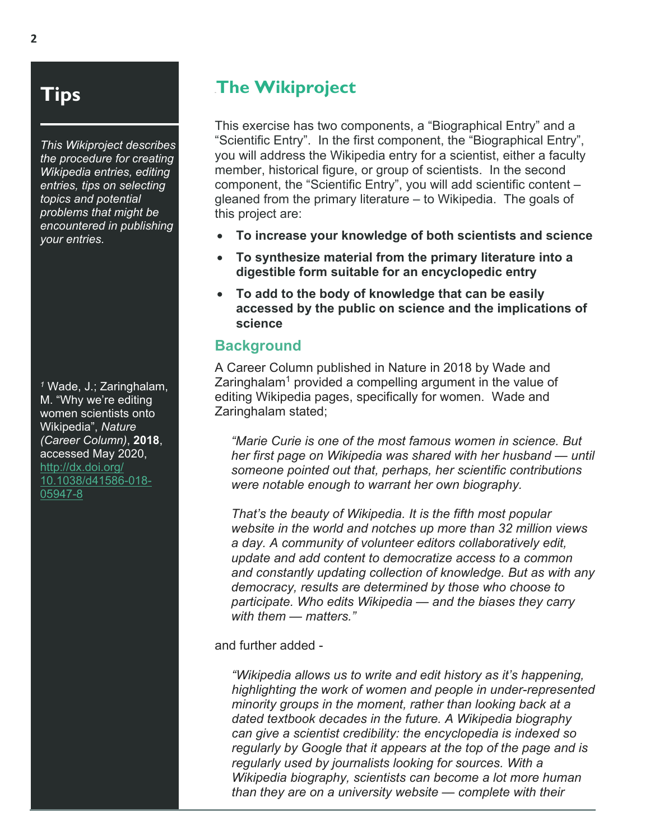# **Tips**

*This Wikiproject describes the procedure for creating Wikipedia entries, editing entries, tips on selecting topics and potential problems that might be encountered in publishing your entries.*

*<sup>1</sup>* Wade, J.; Zaringhalam, M. "Why we're editing women scientists onto Wikipedia", *Nature (Career Column)*, **2018**, accessed May 2020, [http://dx.doi.org/](http://dx.doi.org/10.1038/d41586-018-05947-8) [10.1038/d41586-018-](http://dx.doi.org/10.1038/d41586-018-05947-8) [05947-8](http://dx.doi.org/10.1038/d41586-018-05947-8)

# **The Wikiproject**

This exercise has two components, a "Biographical Entry" and a "Scientific Entry". In the first component, the "Biographical Entry", you will address the Wikipedia entry for a scientist, either a faculty member, historical figure, or group of scientists. In the second component, the "Scientific Entry", you will add scientific content – gleaned from the primary literature – to Wikipedia. The goals of this project are:

- **To increase your knowledge of both scientists and science**
- **To synthesize material from the primary literature into a digestible form suitable for an encyclopedic entry**
- **To add to the body of knowledge that can be easily accessed by the public on science and the implications of science**

# **Background**

A Career Column published in Nature in 2018 by Wade and Zaringhalam<sup>1</sup> provided a compelling argument in the value of editing Wikipedia pages, specifically for women. Wade and Zaringhalam stated:

*"Marie Curie is one of the most famous women in science. But her first page on Wikipedia was shared with her husband — until someone pointed out that, perhaps, her scientific contributions were notable enough to warrant her own biography.* 

*That's the beauty of Wikipedia. It is the fifth most popular website in the world and notches up more than 32 million views a day. A community of volunteer editors collaboratively edit, update and add content to democratize access to a common and constantly updating collection of knowledge. But as with any democracy, results are determined by those who choose to participate. Who edits Wikipedia — and the biases they carry with them — matters."*

and further added -

*"Wikipedia allows us to write and edit history as it's happening, highlighting the work of women and people in under-represented minority groups in the moment, rather than looking back at a dated textbook decades in the future. A Wikipedia biography can give a scientist credibility: the encyclopedia is indexed so regularly by Google that it appears at the top of the page and is regularly used by journalists looking for sources. With a Wikipedia biography, scientists can become a lot more human than they are on a university website — complete with their*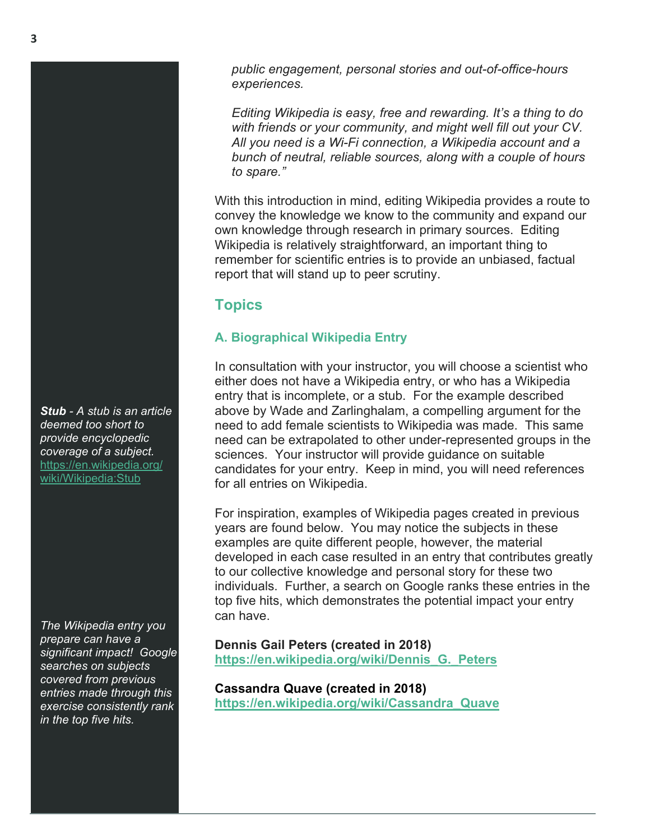*public engagement, personal stories and out-of-office-hours experiences.* 

*Editing Wikipedia is easy, free and rewarding. It's a thing to do with friends or your community, and might well fill out your CV. All you need is a Wi-Fi connection, a Wikipedia account and a bunch of neutral, reliable sources, along with a couple of hours to spare."*

With this introduction in mind, editing Wikipedia provides a route to convey the knowledge we know to the community and expand our own knowledge through research in primary sources. Editing Wikipedia is relatively straightforward, an important thing to remember for scientific entries is to provide an unbiased, factual report that will stand up to peer scrutiny.

# **Topics**

# **A. Biographical Wikipedia Entry**

In consultation with your instructor, you will choose a scientist who either does not have a Wikipedia entry, or who has a Wikipedia entry that is incomplete, or a stub. For the example described above by Wade and Zarlinghalam, a compelling argument for the need to add female scientists to Wikipedia was made. This same need can be extrapolated to other under-represented groups in the sciences. Your instructor will provide guidance on suitable candidates for your entry. Keep in mind, you will need references for all entries on Wikipedia.

For inspiration, examples of Wikipedia pages created in previous years are found below. You may notice the subjects in these examples are quite different people, however, the material developed in each case resulted in an entry that contributes greatly to our collective knowledge and personal story for these two individuals. Further, a search on Google ranks these entries in the top five hits, which demonstrates the potential impact your entry can have.

**Dennis Gail Peters (created in 2018) [https://en.wikipedia.org/wiki/Dennis\\_G.\\_Peters](https://en.wikipedia.org/wiki/Dennis_G._Peters)**

**Cassandra Quave (created in 2018) [https://en.wikipedia.org/wiki/Cassandra\\_Quave](https://en.wikipedia.org/wiki/Cassandra_Quave)**

*Stub - A stub is an article deemed too short to provide encyclopedic coverage of a subject.*  [https://en.wikipedia.org/](https://en.wikipedia.org/wiki/Wikipedia:Stub) [wiki/Wikipedia:Stub](https://en.wikipedia.org/wiki/Wikipedia:Stub)

*The Wikipedia entry you prepare can have a significant impact! Google searches on subjects covered from previous entries made through this exercise consistently rank in the top five hits.*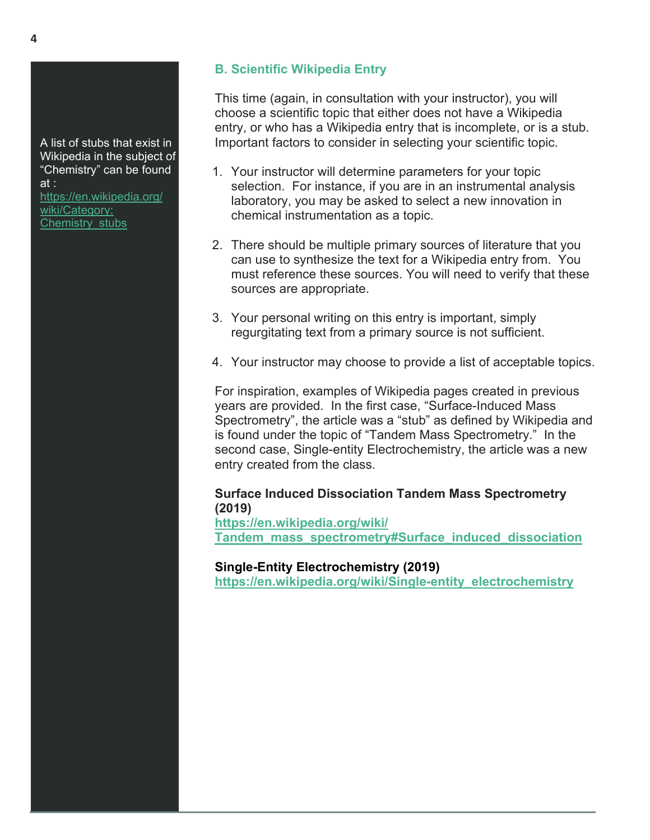A list of stubs that exist in Wikipedia in the subject of "Chemistry" can be found at : [https://en.wikipedia.org/](https://en.wikipedia.org/wiki/Category:Chemistry_stubs) [wiki/Category:](https://en.wikipedia.org/wiki/Category:Chemistry_stubs)

[Chemistry\\_stubs](https://en.wikipedia.org/wiki/Category:Chemistry_stubs)

# **B. Scientific Wikipedia Entry**

This time (again, in consultation with your instructor), you will choose a scientific topic that either does not have a Wikipedia entry, or who has a Wikipedia entry that is incomplete, or is a stub. Important factors to consider in selecting your scientific topic.

- 1. Your instructor will determine parameters for your topic selection. For instance, if you are in an instrumental analysis laboratory, you may be asked to select a new innovation in chemical instrumentation as a topic.
- 2. There should be multiple primary sources of literature that you can use to synthesize the text for a Wikipedia entry from. You must reference these sources. You will need to verify that these sources are appropriate.
- 3. Your personal writing on this entry is important, simply regurgitating text from a primary source is not sufficient.
- 4. Your instructor may choose to provide a list of acceptable topics.

For inspiration, examples of Wikipedia pages created in previous years are provided. In the first case, "Surface-Induced Mass Spectrometry", the article was a "stub" as defined by Wikipedia and is found under the topic of "Tandem Mass Spectrometry." In the second case, Single-entity Electrochemistry, the article was a new entry created from the class.

# **Surface Induced Dissociation Tandem Mass Spectrometry (2019)**

**[https://en.wikipedia.org/wiki/](https://en.wikipedia.org/wiki/Tandem_mass_spectrometry#Surface_induced_dissociation%0D) [Tandem\\_mass\\_spectrometry#Surface\\_induced\\_dissociation](https://en.wikipedia.org/wiki/Tandem_mass_spectrometry#Surface_induced_dissociation%0D)**

**Single-Entity Electrochemistry (2019)**

**[https://en.wikipedia.org/wiki/Single-entity\\_electrochemistry](https://en.wikipedia.org/wiki/Single-entity_electrochemistry)**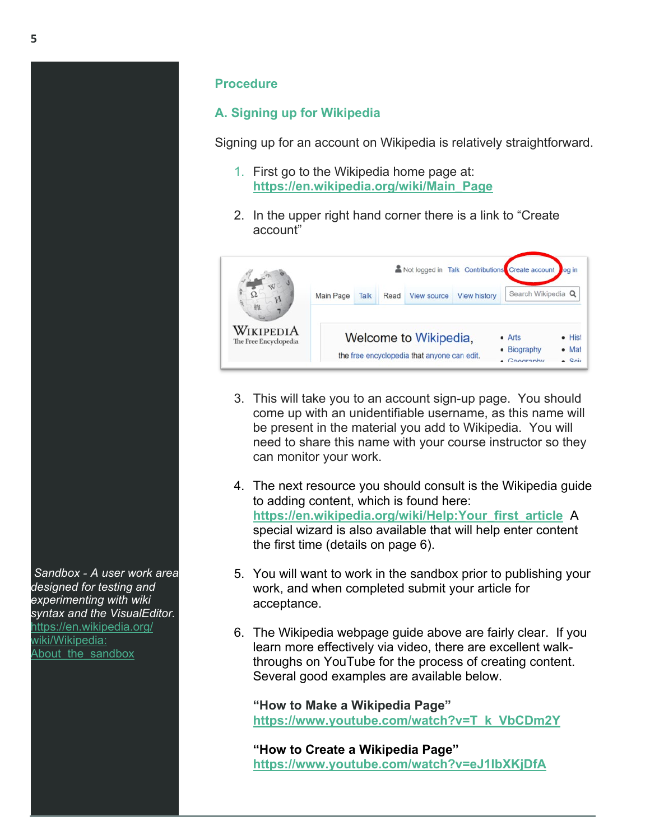# **Procedure**

# **A. Signing up for Wikipedia**

Signing up for an account on Wikipedia is relatively straightforward.

- 1. First go to the Wikipedia home page at: **[https://en.wikipedia.org/wiki/Main\\_Page](https://en.wikipedia.org/wiki/Main_Page)**
- 2. In the upper right hand corner there is a link to "Create account"



- 3. This will take you to an account sign-up page. You should come up with an unidentifiable username, as this name will be present in the material you add to Wikipedia. You will need to share this name with your course instructor so they can monitor your work.
- 4. The next resource you should consult is the Wikipedia guide to adding content, which is found here: **[https://en.wikipedia.org/wiki/Help:Your\\_first\\_article](https://en.wikipedia.org/wiki/Help:Your_first_article)** A special wizard is also available that will help enter content the first time (details on page 6).
- 5. You will want to work in the sandbox prior to publishing your work, and when completed submit your article for acceptance.
- 6. The Wikipedia webpage guide above are fairly clear. If you learn more effectively via video, there are excellent walkthroughs on YouTube for the process of creating content. Several good examples are available below.

**"How to Make a Wikipedia Page" [https://www.youtube.com/watch?v=T\\_k\\_VbCDm2Y](https://www.youtube.com/watch?v=T_k_VbCDm2Y)**

**"How to Create a Wikipedia Page" <https://www.youtube.com/watch?v=eJ1lbXKjDfA>**

*Sandbox - A user work area designed for testing and experimenting with wiki syntax and the VisualEditor.* [https://en.wikipedia.org/](https://en.wikipedia.org/wiki/Wikipedia:About_the_sandbox) [wiki/Wikipedia:](https://en.wikipedia.org/wiki/Wikipedia:About_the_sandbox) About the sandbox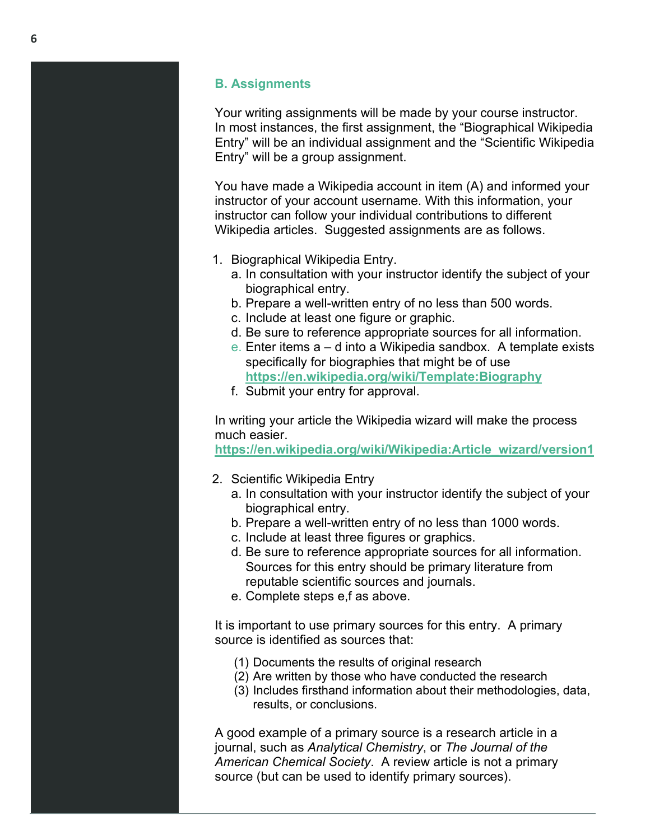## **B. Assignments**

Your writing assignments will be made by your course instructor. In most instances, the first assignment, the "Biographical Wikipedia Entry" will be an individual assignment and the "Scientific Wikipedia Entry" will be a group assignment.

You have made a Wikipedia account in item (A) and informed your instructor of your account username. With this information, your instructor can follow your individual contributions to different Wikipedia articles. Suggested assignments are as follows.

- 1. Biographical Wikipedia Entry.
	- a. In consultation with your instructor identify the subject of your biographical entry.
	- b. Prepare a well-written entry of no less than 500 words.
	- c. Include at least one figure or graphic.
	- d. Be sure to reference appropriate sources for all information.
	- e. Enter items a d into a Wikipedia sandbox. A template exists specifically for biographies that might be of use **<https://en.wikipedia.org/wiki/Template:Biography>**
	- f. Submit your entry for approval.

In writing your article the Wikipedia wizard will make the process much easier.

**[https://en.wikipedia.org/wiki/Wikipedia:Article\\_wizard/version1](https://en.wikipedia.org/wiki/Wikipedia:Article_wizard/version1)**

- 2. Scientific Wikipedia Entry
	- a. In consultation with your instructor identify the subject of your biographical entry.
	- b. Prepare a well-written entry of no less than 1000 words.
	- c. Include at least three figures or graphics.
	- d. Be sure to reference appropriate sources for all information. Sources for this entry should be primary literature from reputable scientific sources and journals.
	- e. Complete steps e,f as above.

It is important to use primary sources for this entry. A primary source is identified as sources that:

- (1) Documents the results of original research
- (2) Are written by those who have conducted the research
- (3) Includes firsthand information about their methodologies, data, results, or conclusions.

A good example of a primary source is a research article in a journal, such as *Analytical Chemistry*, or *The Journal of the American Chemical Society*. A review article is not a primary source (but can be used to identify primary sources).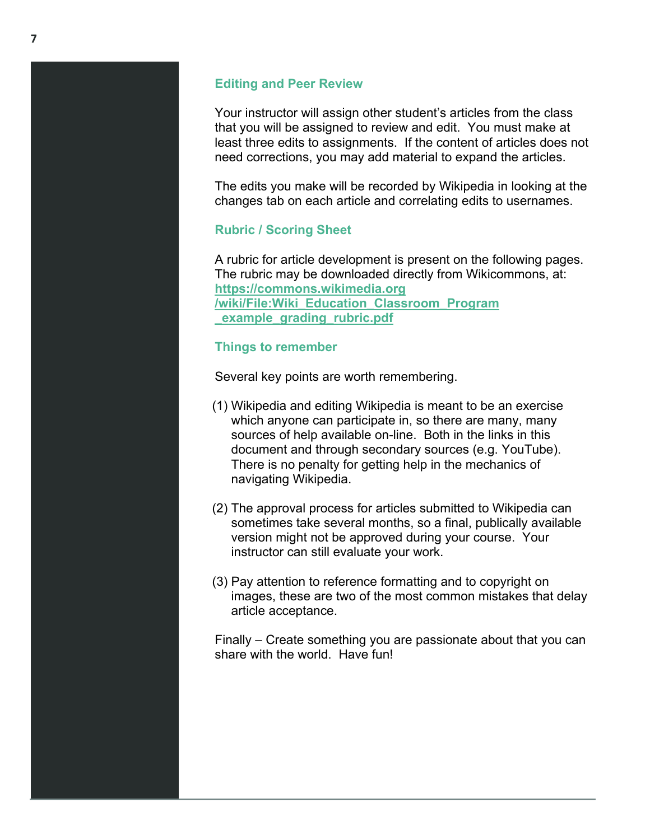#### **Editing and Peer Review**

Your instructor will assign other student's articles from the class that you will be assigned to review and edit. You must make at least three edits to assignments. If the content of articles does not need corrections, you may add material to expand the articles.

The edits you make will be recorded by Wikipedia in looking at the changes tab on each article and correlating edits to usernames.

# **Rubric / Scoring Sheet**

A rubric for article development is present on the following pages. The rubric may be downloaded directly from Wikicommons, at: **[https://commons.wikimedia.org](https://commons.wikimedia.org/wiki/File:Wiki_Education_Classroom_Program_example_grading_rubric.pdf) [/wiki/File:Wiki\\_Education\\_Classroom\\_Program](https://commons.wikimedia.org/wiki/File:Wiki_Education_Classroom_Program_example_grading_rubric.pdf) [\\_example\\_grading\\_rubric.pdf](https://commons.wikimedia.org/wiki/File:Wiki_Education_Classroom_Program_example_grading_rubric.pdf)**

## **Things to remember**

Several key points are worth remembering.

- (1) Wikipedia and editing Wikipedia is meant to be an exercise which anyone can participate in, so there are many, many sources of help available on-line. Both in the links in this document and through secondary sources (e.g. YouTube). There is no penalty for getting help in the mechanics of navigating Wikipedia.
- (2) The approval process for articles submitted to Wikipedia can sometimes take several months, so a final, publically available version might not be approved during your course. Your instructor can still evaluate your work.
- (3) Pay attention to reference formatting and to copyright on images, these are two of the most common mistakes that delay article acceptance.

Finally – Create something you are passionate about that you can share with the world. Have fun!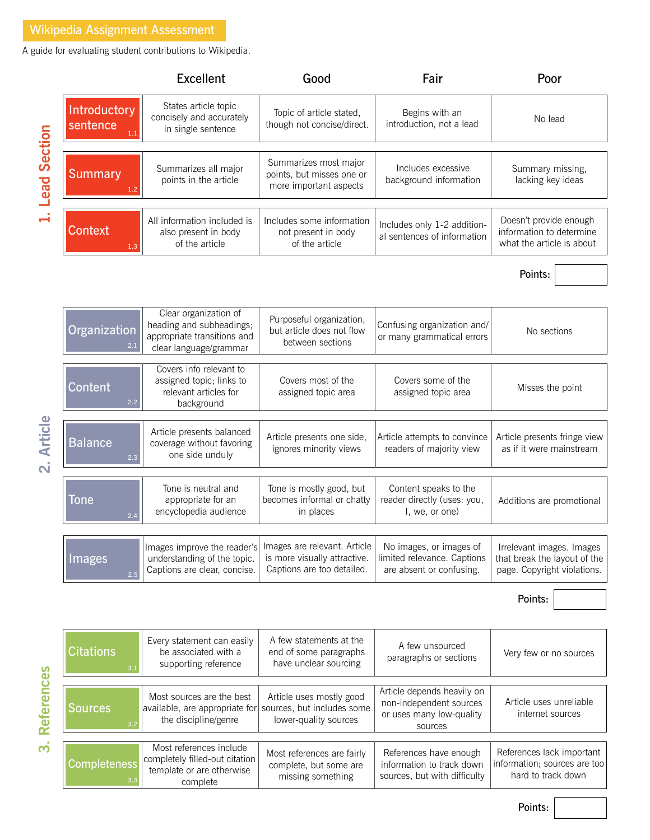A guide for evaluating student contributions to Wikipedia.

|                     |                                 | <b>Excellent</b>                                                                                           | Good                                                                                       | Fair                                                                               | Poor                                                                                     |
|---------------------|---------------------------------|------------------------------------------------------------------------------------------------------------|--------------------------------------------------------------------------------------------|------------------------------------------------------------------------------------|------------------------------------------------------------------------------------------|
| <b>Lead Section</b> | Introductory<br>sentence<br>1.1 | States article topic<br>concisely and accurately<br>in single sentence                                     | Topic of article stated,<br>though not concise/direct.                                     | Begins with an<br>introduction, not a lead                                         | No lead                                                                                  |
|                     | <b>Summary</b><br>1.2           | Summarizes all major<br>points in the article                                                              | Summarizes most major<br>points, but misses one or<br>more important aspects               | Includes excessive<br>background information                                       | Summary missing,<br>lacking key ideas                                                    |
|                     | <b>Context</b><br>1.3           | All information included is<br>also present in body<br>of the article                                      | Includes some information<br>not present in body<br>of the article                         | Includes only 1-2 addition-<br>al sentences of information                         | Doesn't provide enough<br>information to determine<br>what the article is about          |
|                     |                                 |                                                                                                            |                                                                                            |                                                                                    | Points:                                                                                  |
|                     |                                 |                                                                                                            |                                                                                            |                                                                                    |                                                                                          |
|                     | Organization<br>2.1             | Clear organization of<br>heading and subheadings;<br>appropriate transitions and<br>clear language/grammar | Purposeful organization,<br>but article does not flow<br>between sections                  | Confusing organization and/<br>or many grammatical errors                          | No sections                                                                              |
| 2. Article          | Content<br>2.2                  | Covers info relevant to<br>assigned topic; links to<br>relevant articles for<br>background                 | Covers most of the<br>assigned topic area                                                  | Covers some of the<br>assigned topic area                                          | Misses the point                                                                         |
|                     | <b>Balance</b><br>2.3           | Article presents balanced<br>coverage without favoring<br>one side unduly                                  | Article presents one side,<br>ignores minority views                                       | Article attempts to convince<br>readers of majority view                           | Article presents fringe view<br>as if it were mainstream                                 |
|                     | Tone<br>2.4                     | Tone is neutral and<br>appropriate for an<br>encyclopedia audience                                         | Tone is mostly good, but<br>becomes informal or chatty<br>in places                        | Content speaks to the<br>reader directly (uses: you,<br>I, we, or one)             | Additions are promotional                                                                |
|                     | Images<br>2.5                   | Images improve the reader's<br>understanding of the topic.<br>Captions are clear, concise.                 | Images are relevant. Article<br>is more visually attractive.<br>Captions are too detailed. | No images, or images of<br>limited relevance. Captions<br>are absent or confusing. | Irrelevant images. Images<br>that break the layout of the<br>page. Copyright violations. |
|                     |                                 |                                                                                                            |                                                                                            |                                                                                    | Points:                                                                                  |
|                     |                                 |                                                                                                            |                                                                                            |                                                                                    |                                                                                          |
|                     |                                 |                                                                                                            |                                                                                            |                                                                                    |                                                                                          |

 $\dot{\mathbf{c}}$ 

| <b>Citations</b><br>3.1    | Every statement can easily<br>be associated with a<br>supporting reference                         | A few statements at the<br>end of some paragraphs<br>have unclear sourcing      | A few unsourced<br>paragraphs or sections                                                    | Very few or no sources                                                          |  |
|----------------------------|----------------------------------------------------------------------------------------------------|---------------------------------------------------------------------------------|----------------------------------------------------------------------------------------------|---------------------------------------------------------------------------------|--|
|                            |                                                                                                    |                                                                                 |                                                                                              |                                                                                 |  |
| Sources<br>3.2             | Most sources are the best<br>available, are appropriate for<br>the discipline/genre                | Article uses mostly good<br>sources, but includes some<br>lower-quality sources | Article depends heavily on<br>non-independent sources<br>or uses many low-quality<br>sources | Article uses unreliable<br>internet sources                                     |  |
|                            |                                                                                                    |                                                                                 |                                                                                              |                                                                                 |  |
| <b>Completeness</b><br>3.3 | Most references include<br>completely filled-out citation<br>template or are otherwise<br>complete | Most references are fairly<br>complete, but some are<br>missing something       | References have enough<br>information to track down<br>sources, but with difficulty          | References lack important<br>information; sources are too<br>hard to track down |  |

Points: